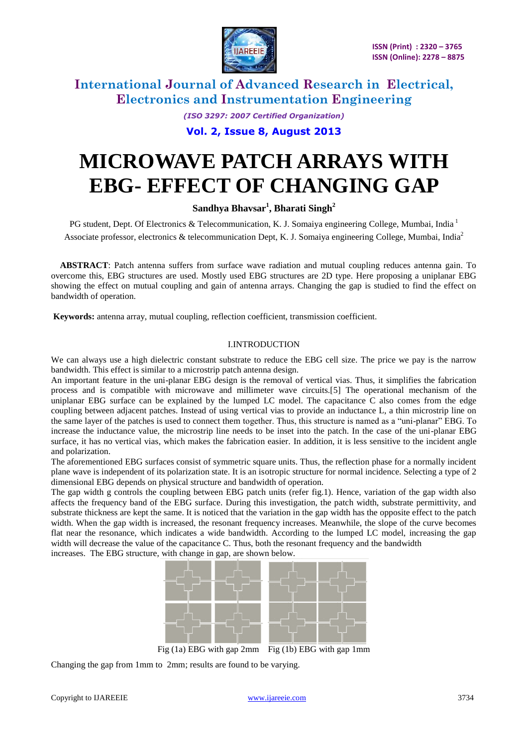

> *(ISO 3297: 2007 Certified Organization)* **Vol. 2, Issue 8, August 2013**

# **MICROWAVE PATCH ARRAYS WITH EBG- EFFECT OF CHANGING GAP**

**Sandhya Bhavsar<sup>1</sup> , Bharati Singh<sup>2</sup>**

PG student, Dept. Of Electronics & Telecommunication, K. J. Somaiya engineering College, Mumbai, India<sup>1</sup> Associate professor, electronics & telecommunication Dept, K. J. Somaiya engineering College, Mumbai, India<sup>2</sup>

**ABSTRACT**: Patch antenna suffers from surface wave radiation and mutual coupling reduces antenna gain. To overcome this, EBG structures are used. Mostly used EBG structures are 2D type. Here proposing a uniplanar EBG showing the effect on mutual coupling and gain of antenna arrays. Changing the gap is studied to find the effect on bandwidth of operation.

**Keywords:** antenna array, mutual coupling, reflection coefficient, transmission coefficient.

## I.INTRODUCTION

We can always use a high dielectric constant substrate to reduce the EBG cell size. The price we pay is the narrow bandwidth. This effect is similar to a microstrip patch antenna design.

An important feature in the uni-planar EBG design is the removal of vertical vias. Thus, it simplifies the fabrication process and is compatible with microwave and millimeter wave circuits.[5] The operational mechanism of the uniplanar EBG surface can be explained by the lumped LC model. The capacitance C also comes from the edge coupling between adjacent patches. Instead of using vertical vias to provide an inductance L, a thin microstrip line on the same layer of the patches is used to connect them together. Thus, this structure is named as a "uni-planar" EBG. To increase the inductance value, the microstrip line needs to be inset into the patch. In the case of the uni-planar EBG surface, it has no vertical vias, which makes the fabrication easier. In addition, it is less sensitive to the incident angle and polarization.

The aforementioned EBG surfaces consist of symmetric square units. Thus, the reflection phase for a normally incident plane wave is independent of its polarization state. It is an isotropic structure for normal incidence. Selecting a type of 2 dimensional EBG depends on physical structure and bandwidth of operation.

The gap width g controls the coupling between EBG patch units (refer fig.1). Hence, variation of the gap width also affects the frequency band of the EBG surface. During this investigation, the patch width, substrate permittivity, and substrate thickness are kept the same. It is noticed that the variation in the gap width has the opposite effect to the patch width. When the gap width is increased, the resonant frequency increases. Meanwhile, the slope of the curve becomes flat near the resonance, which indicates a wide bandwidth. According to the lumped LC model, increasing the gap width will decrease the value of the capacitance C. Thus, both the resonant frequency and the bandwidth increases. The EBG structure, with change in gap, are shown below.



Fig (1a) EBG with gap 2mm Fig (1b) EBG with gap 1mm

Changing the gap from 1mm to 2mm; results are found to be varying.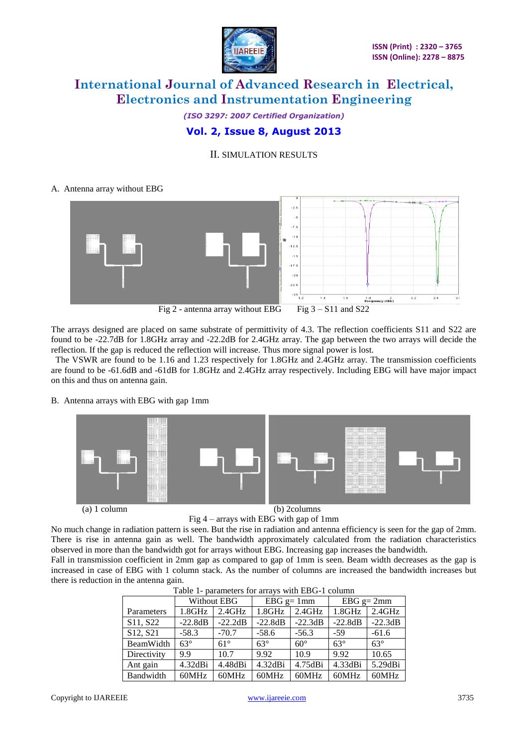

## *(ISO 3297: 2007 Certified Organization)* **Vol. 2, Issue 8, August 2013**

## II. SIMULATION RESULTS

## A. Antenna array without EBG



The arrays designed are placed on same substrate of permittivity of 4.3. The reflection coefficients S11 and S22 are found to be -22.7dB for 1.8GHz array and -22.2dB for 2.4GHz array. The gap between the two arrays will decide the reflection. If the gap is reduced the reflection will increase. Thus more signal power is lost.

 The VSWR are found to be 1.16 and 1.23 respectively for 1.8GHz and 2.4GHz array. The transmission coefficients are found to be -61.6dB and -61dB for 1.8GHz and 2.4GHz array respectively. Including EBG will have major impact on this and thus on antenna gain.

B. Antenna arrays with EBG with gap 1mm





Fig 4 – arrays with EBG with gap of 1mm

No much change in radiation pattern is seen. But the rise in radiation and antenna efficiency is seen for the gap of 2mm. There is rise in antenna gain as well. The bandwidth approximately calculated from the radiation characteristics observed in more than the bandwidth got for arrays without EBG. Increasing gap increases the bandwidth.

Fall in transmission coefficient in 2mm gap as compared to gap of 1mm is seen. Beam width decreases as the gap is increased in case of EBG with 1 column stack. As the number of columns are increased the bandwidth increases but there is reduction in the antenna gain.

|  | Table 1- parameters for arrays with EDO-1 column |             |                 |                 |                 |              |            |  |  |  |  |
|--|--------------------------------------------------|-------------|-----------------|-----------------|-----------------|--------------|------------|--|--|--|--|
|  |                                                  | Without EBG |                 | $EBG$ g= 1mm    |                 | $EBG$ g= 2mm |            |  |  |  |  |
|  | Parameters                                       | 1.8GHz      | $2.4\text{GHz}$ | $1.8\text{GHz}$ | $2.4\text{GHz}$ | 1.8GHz       | $2.4$ GHz  |  |  |  |  |
|  | S <sub>11</sub> , S <sub>22</sub>                | $-22.8dB$   | $-22.2dB$       | $-22.8dB$       | $-22.3dB$       | $-22.8dB$    | $-22.3dB$  |  |  |  |  |
|  | S <sub>12</sub> , S <sub>21</sub>                | $-58.3$     | $-70.7$         | $-58.6$         | $-56.3$         | $-59$        | $-61.6$    |  |  |  |  |
|  | BeamWidth                                        | $63^\circ$  | $61^\circ$      | $63^\circ$      | $60^\circ$      | $63^\circ$   | $63^\circ$ |  |  |  |  |
|  | Directivity                                      | 9.9         | 10.7            | 9.92            | 10.9            | 9.92         | 10.65      |  |  |  |  |
|  | Ant gain                                         | 4.32dBi     | 4.48dBi         | 4.32dBi         | 4.75dBi         | 4.33dBi      | 5.29dBi    |  |  |  |  |
|  | Bandwidth                                        | 60MHz       | 60MHz           | 60MHz           | 60MHz           | 60MHz        | 60MHz      |  |  |  |  |

|--|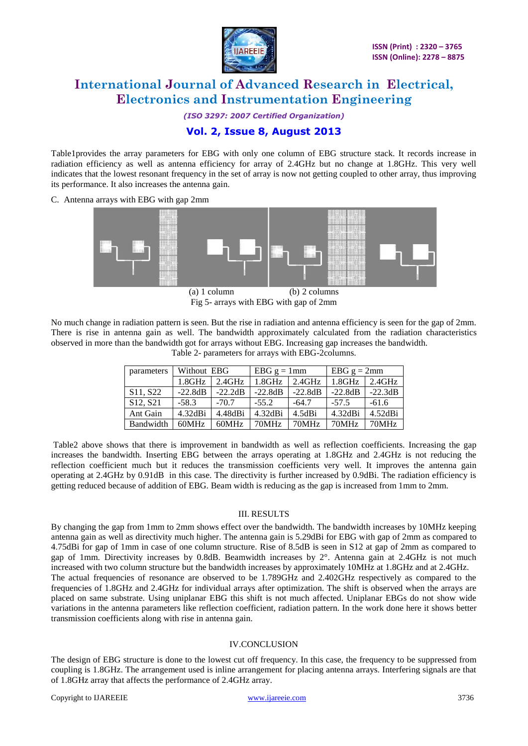

*(ISO 3297: 2007 Certified Organization)*

## **Vol. 2, Issue 8, August 2013**

Table1provides the array parameters for EBG with only one column of EBG structure stack. It records increase in radiation efficiency as well as antenna efficiency for array of 2.4GHz but no change at 1.8GHz. This very well indicates that the lowest resonant frequency in the set of array is now not getting coupled to other array, thus improving its performance. It also increases the antenna gain.

C. Antenna arrays with EBG with gap 2mm



Fig 5- arrays with EBG with gap of 2mm

No much change in radiation pattern is seen. But the rise in radiation and antenna efficiency is seen for the gap of 2mm. There is rise in antenna gain as well. The bandwidth approximately calculated from the radiation characteristics observed in more than the bandwidth got for arrays without EBG. Increasing gap increases the bandwidth. Table 2- parameters for arrays with EBG-2columns.

| parameters                        | Without EBG |           | $EBG g = 1mm$ |           | EBG $g = 2mm$ |            |
|-----------------------------------|-------------|-----------|---------------|-----------|---------------|------------|
|                                   | $1.8$ GHz   | $2.4$ GHz | $1.8$ GHz     | $2.4$ GHz | $1.8$ GHz     | $2.4$ GHz  |
| S <sub>11</sub> , S <sub>22</sub> | $-22.8dB$   | $-22.2dB$ | $-22.8dB$     | $-22.8dB$ | $-22.8dB$     | $-22.3dB$  |
| S12, S21                          | $-58.3$     | $-70.7$   | $-55.2$       | $-64.7$   | $-57.5$       | $-61.6$    |
| Ant Gain                          | 4.32dBi     | 4.48dBi   | 4.32dBi       | 4.5dBi    | 4.32dBi       | $4.52dB$ i |
| Bandwidth                         | 60MHz       | 60MHz     | 70MHz         | 70MHz     | 70MHz         | 70MHz      |

Table2 above shows that there is improvement in bandwidth as well as reflection coefficients. Increasing the gap increases the bandwidth. Inserting EBG between the arrays operating at 1.8GHz and 2.4GHz is not reducing the reflection coefficient much but it reduces the transmission coefficients very well. It improves the antenna gain operating at 2.4GHz by 0.91dB in this case. The directivity is further increased by 0.9dBi. The radiation efficiency is getting reduced because of addition of EBG. Beam width is reducing as the gap is increased from 1mm to 2mm.

### III. RESULTS

By changing the gap from 1mm to 2mm shows effect over the bandwidth. The bandwidth increases by 10MHz keeping antenna gain as well as directivity much higher. The antenna gain is 5.29dBi for EBG with gap of 2mm as compared to 4.75dBi for gap of 1mm in case of one column structure. Rise of 8.5dB is seen in S12 at gap of 2mm as compared to gap of 1mm. Directivity increases by 0.8dB. Beamwidth increases by 2°. Antenna gain at 2.4GHz is not much increased with two column structure but the bandwidth increases by approximately 10MHz at 1.8GHz and at 2.4GHz. The actual frequencies of resonance are observed to be 1.789GHz and 2.402GHz respectively as compared to the frequencies of 1.8GHz and 2.4GHz for individual arrays after optimization. The shift is observed when the arrays are placed on same substrate. Using uniplanar EBG this shift is not much affected. Uniplanar EBGs do not show wide variations in the antenna parameters like reflection coefficient, radiation pattern. In the work done here it shows better transmission coefficients along with rise in antenna gain.

### IV.CONCLUSION

The design of EBG structure is done to the lowest cut off frequency. In this case, the frequency to be suppressed from coupling is 1.8GHz. The arrangement used is inline arrangement for placing antenna arrays. Interfering signals are that of 1.8GHz array that affects the performance of 2.4GHz array.